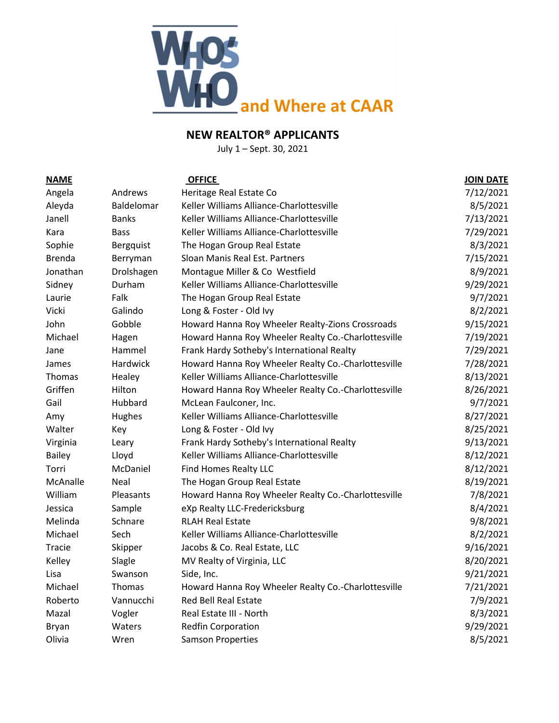

# **NEW REALTOR® APPLICANTS**

July 1 – Sept. 30, 2021

| <b>NAME</b>   |               | <b>OFFICE</b>                                       | <b>JOIN DATE</b> |
|---------------|---------------|-----------------------------------------------------|------------------|
| Angela        | Andrews       | Heritage Real Estate Co                             | 7/12/2021        |
| Aleyda        | Baldelomar    | Keller Williams Alliance-Charlottesville            | 8/5/2021         |
| Janell        | <b>Banks</b>  | Keller Williams Alliance-Charlottesville            | 7/13/2021        |
| Kara          | <b>Bass</b>   | Keller Williams Alliance-Charlottesville            | 7/29/2021        |
| Sophie        | Bergquist     | The Hogan Group Real Estate                         | 8/3/2021         |
| <b>Brenda</b> | Berryman      | Sloan Manis Real Est. Partners                      | 7/15/2021        |
| Jonathan      | Drolshagen    | Montague Miller & Co Westfield                      | 8/9/2021         |
| Sidney        | Durham        | Keller Williams Alliance-Charlottesville            | 9/29/2021        |
| Laurie        | Falk          | The Hogan Group Real Estate                         | 9/7/2021         |
| Vicki         | Galindo       | Long & Foster - Old Ivy                             | 8/2/2021         |
| John          | Gobble        | Howard Hanna Roy Wheeler Realty-Zions Crossroads    | 9/15/2021        |
| Michael       | Hagen         | Howard Hanna Roy Wheeler Realty Co.-Charlottesville | 7/19/2021        |
| Jane          | Hammel        | Frank Hardy Sotheby's International Realty          | 7/29/2021        |
| James         | Hardwick      | Howard Hanna Roy Wheeler Realty Co.-Charlottesville | 7/28/2021        |
| Thomas        | Healey        | Keller Williams Alliance-Charlottesville            | 8/13/2021        |
| Griffen       | Hilton        | Howard Hanna Roy Wheeler Realty Co.-Charlottesville | 8/26/2021        |
| Gail          | Hubbard       | McLean Faulconer, Inc.                              | 9/7/2021         |
| Amy           | Hughes        | Keller Williams Alliance-Charlottesville            | 8/27/2021        |
| Walter        | Key           | Long & Foster - Old Ivy                             | 8/25/2021        |
| Virginia      | Leary         | Frank Hardy Sotheby's International Realty          | 9/13/2021        |
| <b>Bailey</b> | Lloyd         | Keller Williams Alliance-Charlottesville            | 8/12/2021        |
| Torri         | McDaniel      | <b>Find Homes Realty LLC</b>                        | 8/12/2021        |
| McAnalle      | Neal          | The Hogan Group Real Estate                         | 8/19/2021        |
| William       | Pleasants     | Howard Hanna Roy Wheeler Realty Co.-Charlottesville | 7/8/2021         |
| Jessica       | Sample        | eXp Realty LLC-Fredericksburg                       | 8/4/2021         |
| Melinda       | Schnare       | <b>RLAH Real Estate</b>                             | 9/8/2021         |
| Michael       | Sech          | Keller Williams Alliance-Charlottesville            | 8/2/2021         |
| Tracie        | Skipper       | Jacobs & Co. Real Estate, LLC                       | 9/16/2021        |
| Kelley        | Slagle        | MV Realty of Virginia, LLC                          | 8/20/2021        |
| Lisa          | Swanson       | Side, Inc.                                          | 9/21/2021        |
| Michael       | <b>Thomas</b> | Howard Hanna Roy Wheeler Realty Co.-Charlottesville | 7/21/2021        |
| Roberto       | Vannucchi     | Red Bell Real Estate                                | 7/9/2021         |
| Mazal         | Vogler        | Real Estate III - North                             | 8/3/2021         |
| <b>Bryan</b>  | Waters        | Redfin Corporation                                  | 9/29/2021        |
| Olivia        | Wren          | <b>Samson Properties</b>                            | 8/5/2021         |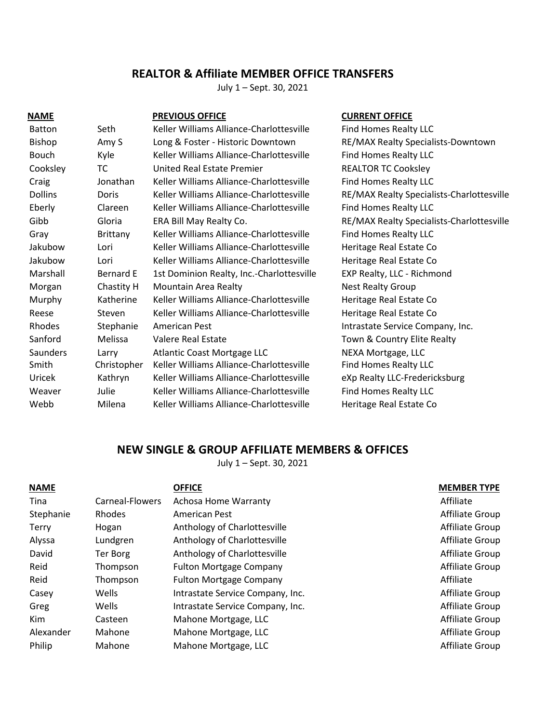# **REALTOR & Affiliate MEMBER OFFICE TRANSFERS**

July 1 – Sept. 30, 2021

| <b>NAME</b>     |                  | <b>PREVIOUS OFFICE</b>                    |
|-----------------|------------------|-------------------------------------------|
| <b>Batton</b>   | Seth             | Keller Williams Alliance-Charlottesville  |
| Bishop          | Amy S            | Long & Foster - Historic Downtown         |
| <b>Bouch</b>    | Kyle             | Keller Williams Alliance-Charlottesville  |
| Cooksley        | ТC               | United Real Estate Premier                |
| Craig           | Jonathan         | Keller Williams Alliance-Charlottesville  |
| <b>Dollins</b>  | Doris            | Keller Williams Alliance-Charlottesville  |
| Eberly          | Clareen          | Keller Williams Alliance-Charlottesville  |
| Gibb            | Gloria           | ERA Bill May Realty Co.                   |
| Gray            | <b>Brittany</b>  | Keller Williams Alliance-Charlottesville  |
| Jakubow         | Lori             | Keller Williams Alliance-Charlottesville  |
| Jakubow         | Lori             | Keller Williams Alliance-Charlottesville  |
| Marshall        | <b>Bernard E</b> | 1st Dominion Realty, Inc.-Charlottesville |
| Morgan          | Chastity H       | Mountain Area Realty                      |
| Murphy          | Katherine        | Keller Williams Alliance-Charlottesville  |
| Reese           | Steven           | Keller Williams Alliance-Charlottesville  |
| <b>Rhodes</b>   | Stephanie        | American Pest                             |
| Sanford         | Melissa          | Valere Real Estate                        |
| <b>Saunders</b> | Larry            | Atlantic Coast Mortgage LLC               |
| Smith           | Christopher      | Keller Williams Alliance-Charlottesville  |
| Uricek          | Kathryn          | Keller Williams Alliance-Charlottesville  |
| Weaver          | Julie            | Keller Williams Alliance-Charlottesville  |
| Webb            | Milena           | Keller Williams Alliance-Charlottesville  |

### **CURRENT OFFICE**

Find Homes Realty LLC RE/MAX Realty Specialists-Downtown Find Homes Realty LLC REALTOR TC Cooksley Find Homes Realty LLC RE/MAX Realty Specialists-Charlottesville Find Homes Realty LLC RE/MAX Realty Specialists-Charlottesville Find Homes Realty LLC Heritage Real Estate Co Heritage Real Estate Co EXP Realty, LLC - Richmond Nest Realty Group Heritage Real Estate Co Heritage Real Estate Co Intrastate Service Company, Inc. Town & Country Elite Realty NEXA Mortgage, LLC Find Homes Realty LLC eXp Realty LLC-Fredericksburg Find Homes Realty LLC Heritage Real Estate Co

## **NEW SINGLE & GROUP AFFILIATE MEMBERS & OFFICES**

July 1 – Sept. 30, 2021

| <b>NAME</b> |                 | <b>OFFICE</b>                    | <b>MEMBER TYPE</b> |
|-------------|-----------------|----------------------------------|--------------------|
| Tina        | Carneal-Flowers | <b>Achosa Home Warranty</b>      | Affiliate          |
| Stephanie   | Rhodes          | American Pest                    | Affiliate Group    |
| Terry       | Hogan           | Anthology of Charlottesville     | Affiliate Group    |
| Alyssa      | Lundgren        | Anthology of Charlottesville     | Affiliate Group    |
| David       | <b>Ter Borg</b> | Anthology of Charlottesville     | Affiliate Group    |
| Reid        | Thompson        | <b>Fulton Mortgage Company</b>   | Affiliate Group    |
| Reid        | Thompson        | <b>Fulton Mortgage Company</b>   | Affiliate          |
| Casey       | Wells           | Intrastate Service Company, Inc. | Affiliate Group    |
| Greg        | Wells           | Intrastate Service Company, Inc. | Affiliate Group    |
| Kim         | Casteen         | Mahone Mortgage, LLC             | Affiliate Group    |
| Alexander   | Mahone          | Mahone Mortgage, LLC             | Affiliate Group    |
| Philip      | Mahone          | Mahone Mortgage, LLC             | Affiliate Group    |
|             |                 |                                  |                    |